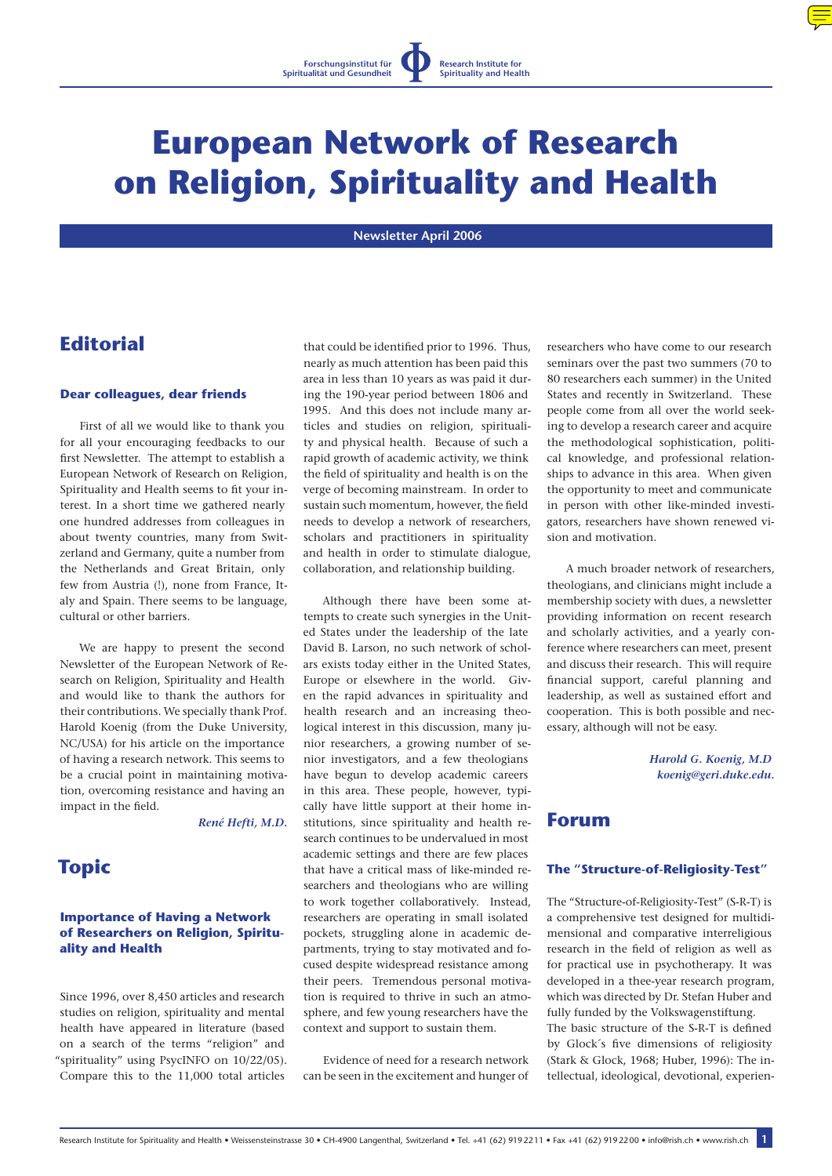

# **European Network of Research on Religion, Spirituality and Health**

 **Newsletter April 2006** 

# **Editorial**

#### **Dear colleagues, dear friends**

First of all we would like to thank you for all your encouraging feedbacks to our first Newsletter. The attempt to establish a European Network of Research on Religion, Spirituality and Health seems to fit your interest. In a short time we gathered nearly one hundred addresses from colleagues in about twenty countries, many from Switzerland and Germany, quite a number from the Netherlands and Great Britain, only few from Austria (!), none from France, Italy and Spain. There seems to be language, cultural or other barriers.

We are happy to present the second Newsletter of the European Network of Research on Religion, Spirituality and Health and would like to thank the authors for their contributions. We specially thank Prof. Harold Koenig (from the Duke University, NC/USA) for his article on the importance of having a research network. This seems to be a crucial point in maintaining motivation, overcoming resistance and having an impact in the field.

 *René Hefti, M.D.*

# **Topic**

## **Importance of Having a Network of Researchers on Religion, Spirituality and Health**

Since 1996, over 8,450 articles and research studies on religion, spirituality and mental health have appeared in literature (based on a search of the terms "religion" and "spirituality" using PsycINFO on 10/22/05). Compare this to the 11,000 total articles

that could be identified prior to 1996. Thus, nearly as much attention has been paid this area in less than 10 years as was paid it during the 190-year period between 1806 and 1995. And this does not include many articles and studies on religion, spirituality and physical health. Because of such a rapid growth of academic activity, we think the field of spirituality and health is on the verge of becoming mainstream. In order to sustain such momentum, however, the field needs to develop a network of researchers, scholars and practitioners in spirituality and health in order to stimulate dialogue, collaboration, and relationship building.

Although there have been some attempts to create such synergies in the United States under the leadership of the late David B. Larson, no such network of scholars exists today either in the United States, Europe or elsewhere in the world. Given the rapid advances in spirituality and health research and an increasing theological interest in this discussion, many junior researchers, a growing number of senior investigators, and a few theologians have begun to develop academic careers in this area. These people, however, typically have little support at their home institutions, since spirituality and health research continues to be undervalued in most academic settings and there are few places that have a critical mass of like-minded researchers and theologians who are willing to work together collaboratively. Instead, researchers are operating in small isolated pockets, struggling alone in academic departments, trying to stay motivated and focused despite widespread resistance among their peers. Tremendous personal motivation is required to thrive in such an atmosphere, and few young researchers have the context and support to sustain them.

Evidence of need for a research network can be seen in the excitement and hunger of researchers who have come to our research seminars over the past two summers (70 to 80 researchers each summer) in the United States and recently in Switzerland. These people come from all over the world seeking to develop a research career and acquire the methodological sophistication, political knowledge, and professional relationships to advance in this area. When given the opportunity to meet and communicate in person with other like-minded investigators, researchers have shown renewed vision and motivation.

A much broader network of researchers, theologians, and clinicians might include a membership society with dues, a newsletter providing information on recent research and scholarly activities, and a yearly conference where researchers can meet, present and discuss their research. This will require financial support, careful planning and leadership, as well as sustained effort and cooperation. This is both possible and necessary, although will not be easy.

> *Harold G. Koenig, M.D [koenig@geri.duke.edu](mailto:koenig@geri.duke.edu).*

# **Forum**

### **The "Structure-of-Religiosity-Test"**

The "Structure-of-Religiosity-Test" (S-R-T) is a comprehensive test designed for multidimensional and comparative interreligious research in the field of religion as well as for practical use in psychotherapy. It was developed in a thee-year research program, which was directed by Dr. Stefan Huber and fully funded by the Volkswagenstiftung. The basic structure of the S-R-T is defined by Glock´s five dimensions of religiosity (Stark & Glock, 1968; Huber, 1996): The intellectual, ideological, devotional, experien-